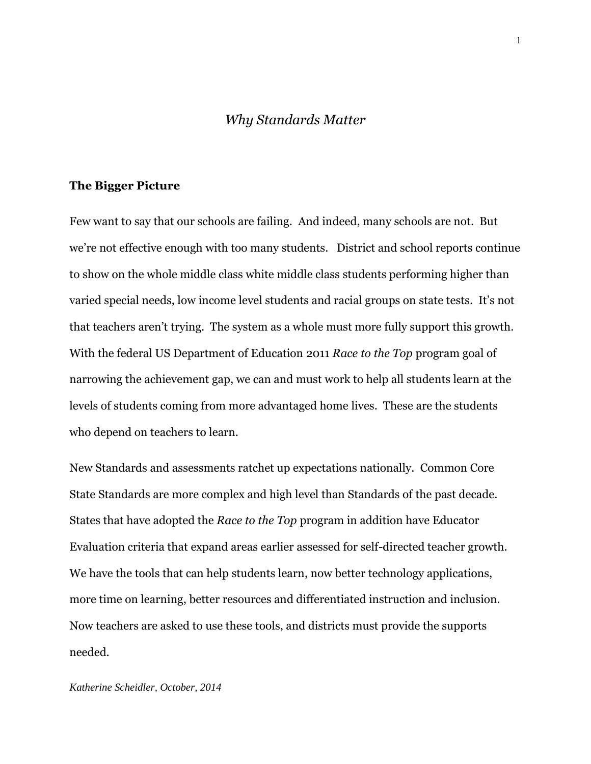# *Why Standards Matter*

# **The Bigger Picture**

Few want to say that our schools are failing. And indeed, many schools are not. But we're not effective enough with too many students. District and school reports continue to show on the whole middle class white middle class students performing higher than varied special needs, low income level students and racial groups on state tests. It's not that teachers aren't trying. The system as a whole must more fully support this growth. With the federal US Department of Education 2011 *Race to the Top* program goal of narrowing the achievement gap, we can and must work to help all students learn at the levels of students coming from more advantaged home lives. These are the students who depend on teachers to learn.

New Standards and assessments ratchet up expectations nationally. Common Core State Standards are more complex and high level than Standards of the past decade. States that have adopted the *Race to the Top* program in addition have Educator Evaluation criteria that expand areas earlier assessed for self-directed teacher growth. We have the tools that can help students learn, now better technology applications, more time on learning, better resources and differentiated instruction and inclusion. Now teachers are asked to use these tools, and districts must provide the supports needed.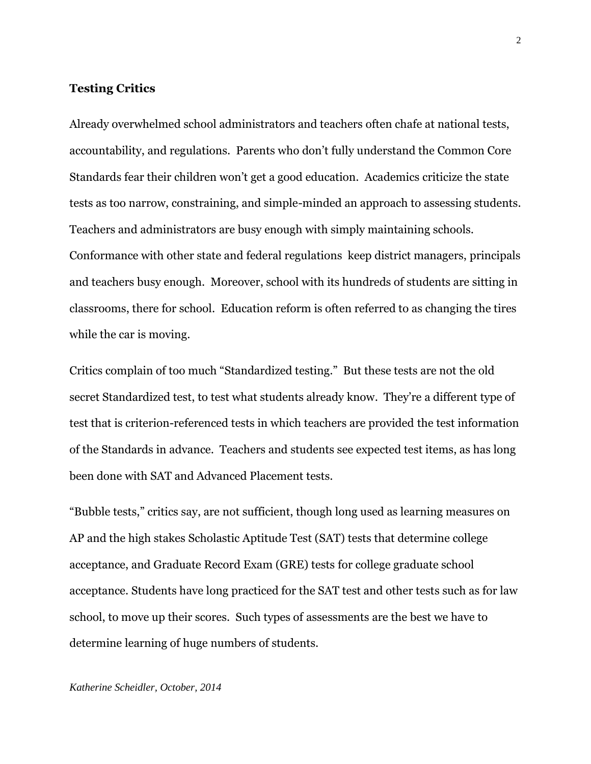# **Testing Critics**

Already overwhelmed school administrators and teachers often chafe at national tests, accountability, and regulations. Parents who don't fully understand the Common Core Standards fear their children won't get a good education. Academics criticize the state tests as too narrow, constraining, and simple-minded an approach to assessing students. Teachers and administrators are busy enough with simply maintaining schools. Conformance with other state and federal regulations keep district managers, principals and teachers busy enough. Moreover, school with its hundreds of students are sitting in classrooms, there for school. Education reform is often referred to as changing the tires while the car is moving.

Critics complain of too much "Standardized testing." But these tests are not the old secret Standardized test, to test what students already know. They're a different type of test that is criterion-referenced tests in which teachers are provided the test information of the Standards in advance. Teachers and students see expected test items, as has long been done with SAT and Advanced Placement tests.

"Bubble tests," critics say, are not sufficient, though long used as learning measures on AP and the high stakes Scholastic Aptitude Test (SAT) tests that determine college acceptance, and Graduate Record Exam (GRE) tests for college graduate school acceptance. Students have long practiced for the SAT test and other tests such as for law school, to move up their scores. Such types of assessments are the best we have to determine learning of huge numbers of students.

#### *Katherine Scheidler, October, 2014*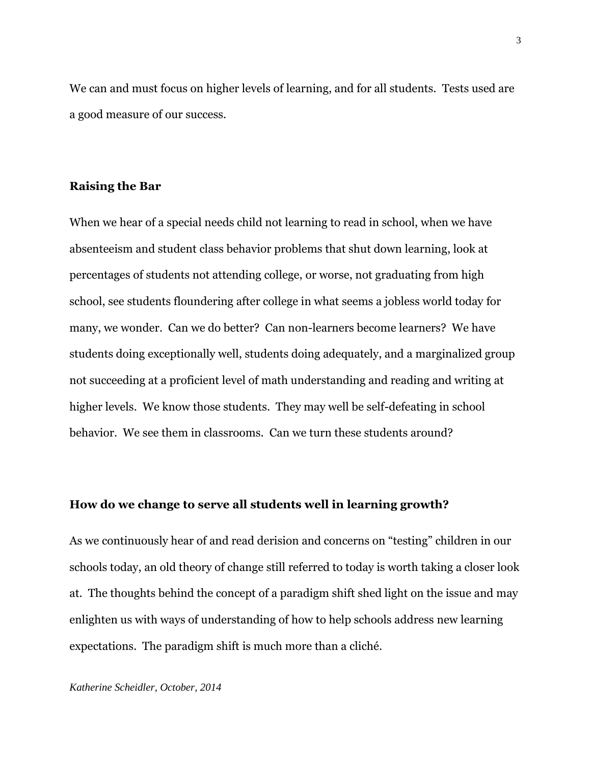We can and must focus on higher levels of learning, and for all students. Tests used are a good measure of our success.

# **Raising the Bar**

When we hear of a special needs child not learning to read in school, when we have absenteeism and student class behavior problems that shut down learning, look at percentages of students not attending college, or worse, not graduating from high school, see students floundering after college in what seems a jobless world today for many, we wonder. Can we do better? Can non-learners become learners? We have students doing exceptionally well, students doing adequately, and a marginalized group not succeeding at a proficient level of math understanding and reading and writing at higher levels. We know those students. They may well be self-defeating in school behavior. We see them in classrooms. Can we turn these students around?

### **How do we change to serve all students well in learning growth?**

As we continuously hear of and read derision and concerns on "testing" children in our schools today, an old theory of change still referred to today is worth taking a closer look at. The thoughts behind the concept of a paradigm shift shed light on the issue and may enlighten us with ways of understanding of how to help schools address new learning expectations. The paradigm shift is much more than a cliché.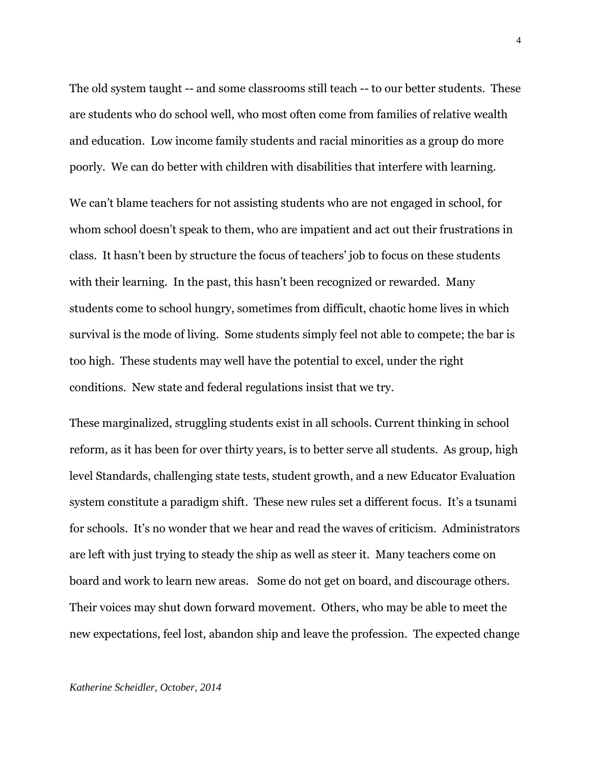The old system taught -- and some classrooms still teach -- to our better students. These are students who do school well, who most often come from families of relative wealth and education. Low income family students and racial minorities as a group do more poorly. We can do better with children with disabilities that interfere with learning.

We can't blame teachers for not assisting students who are not engaged in school, for whom school doesn't speak to them, who are impatient and act out their frustrations in class. It hasn't been by structure the focus of teachers' job to focus on these students with their learning. In the past, this hasn't been recognized or rewarded. Many students come to school hungry, sometimes from difficult, chaotic home lives in which survival is the mode of living. Some students simply feel not able to compete; the bar is too high. These students may well have the potential to excel, under the right conditions. New state and federal regulations insist that we try.

These marginalized, struggling students exist in all schools. Current thinking in school reform, as it has been for over thirty years, is to better serve all students. As group, high level Standards, challenging state tests, student growth, and a new Educator Evaluation system constitute a paradigm shift. These new rules set a different focus. It's a tsunami for schools. It's no wonder that we hear and read the waves of criticism. Administrators are left with just trying to steady the ship as well as steer it. Many teachers come on board and work to learn new areas. Some do not get on board, and discourage others. Their voices may shut down forward movement. Others, who may be able to meet the new expectations, feel lost, abandon ship and leave the profession. The expected change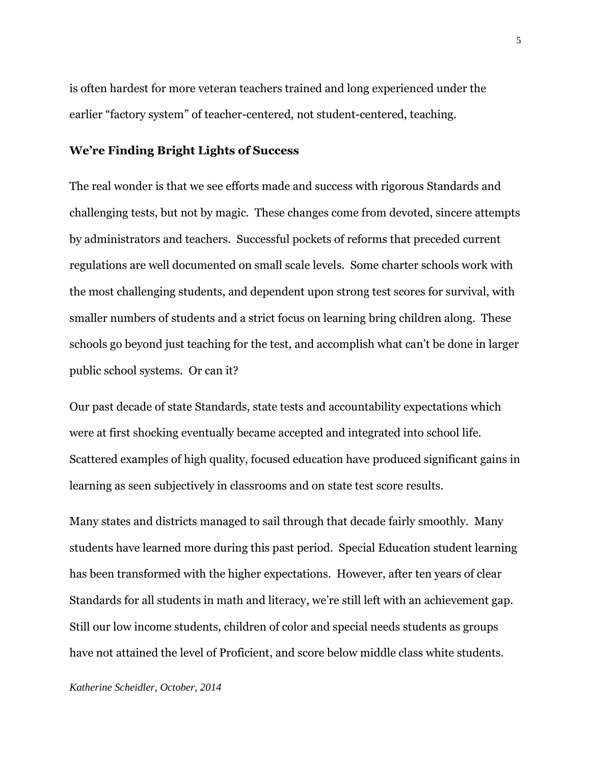is often hardest for more veteran teachers trained and long experienced under the earlier "factory system" of teacher-centered, not student-centered, teaching.

# **We're Finding Bright Lights of Success**

The real wonder is that we see efforts made and success with rigorous Standards and challenging tests, but not by magic. These changes come from devoted, sincere attempts by administrators and teachers. Successful pockets of reforms that preceded current regulations are well documented on small scale levels. Some charter schools work with the most challenging students, and dependent upon strong test scores for survival, with smaller numbers of students and a strict focus on learning bring children along. These schools go beyond just teaching for the test, and accomplish what can't be done in larger public school systems. Or can it?

Our past decade of state Standards, state tests and accountability expectations which were at first shocking eventually became accepted and integrated into school life. Scattered examples of high quality, focused education have produced significant gains in learning as seen subjectively in classrooms and on state test score results.

Many states and districts managed to sail through that decade fairly smoothly. Many students have learned more during this past period. Special Education student learning has been transformed with the higher expectations. However, after ten years of clear Standards for all students in math and literacy, we're still left with an achievement gap. Still our low income students, children of color and special needs students as groups have not attained the level of Proficient, and score below middle class white students.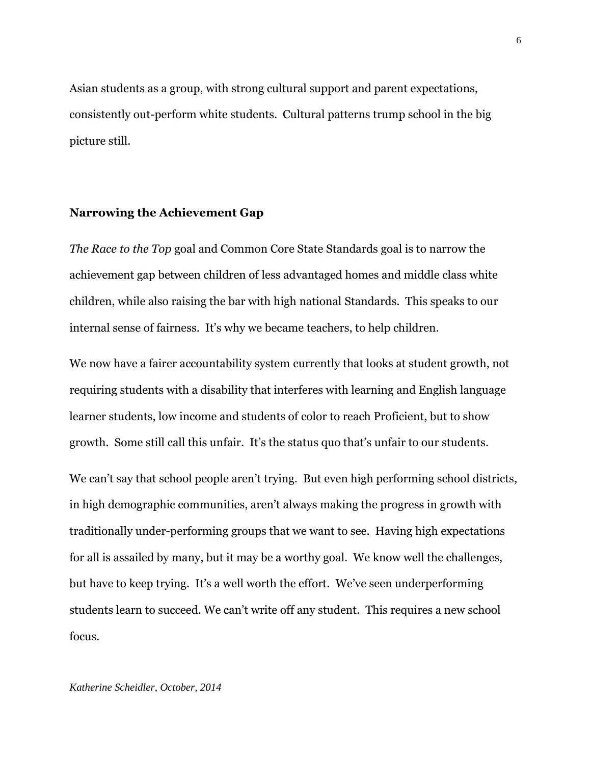Asian students as a group, with strong cultural support and parent expectations, consistently out-perform white students. Cultural patterns trump school in the big picture still.

# **Narrowing the Achievement Gap**

*The Race to the Top* goal and Common Core State Standards goal is to narrow the achievement gap between children of less advantaged homes and middle class white children, while also raising the bar with high national Standards. This speaks to our internal sense of fairness. It's why we became teachers, to help children.

We now have a fairer accountability system currently that looks at student growth, not requiring students with a disability that interferes with learning and English language learner students, low income and students of color to reach Proficient, but to show growth. Some still call this unfair. It's the status quo that's unfair to our students.

We can't say that school people aren't trying. But even high performing school districts, in high demographic communities, aren't always making the progress in growth with traditionally under-performing groups that we want to see. Having high expectations for all is assailed by many, but it may be a worthy goal. We know well the challenges, but have to keep trying. It's a well worth the effort. We've seen underperforming students learn to succeed. We can't write off any student. This requires a new school focus.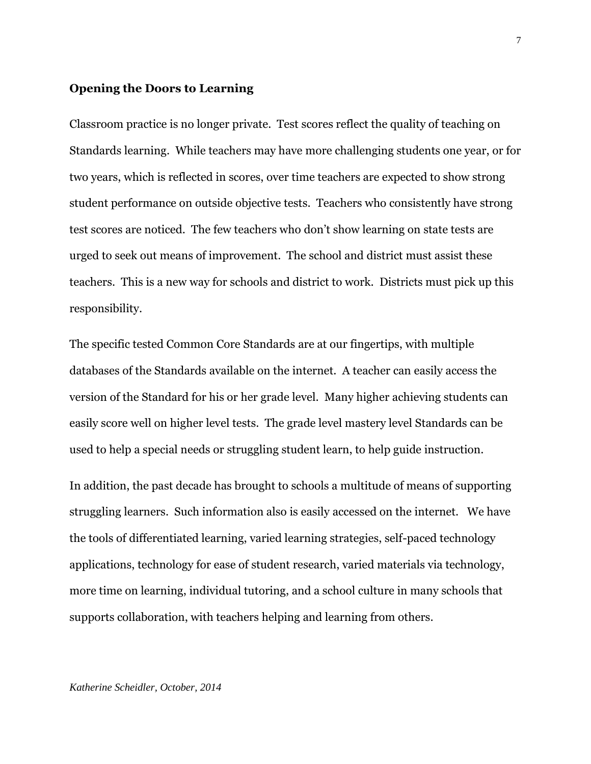#### **Opening the Doors to Learning**

Classroom practice is no longer private. Test scores reflect the quality of teaching on Standards learning. While teachers may have more challenging students one year, or for two years, which is reflected in scores, over time teachers are expected to show strong student performance on outside objective tests. Teachers who consistently have strong test scores are noticed. The few teachers who don't show learning on state tests are urged to seek out means of improvement. The school and district must assist these teachers. This is a new way for schools and district to work. Districts must pick up this responsibility.

The specific tested Common Core Standards are at our fingertips, with multiple databases of the Standards available on the internet. A teacher can easily access the version of the Standard for his or her grade level. Many higher achieving students can easily score well on higher level tests. The grade level mastery level Standards can be used to help a special needs or struggling student learn, to help guide instruction.

In addition, the past decade has brought to schools a multitude of means of supporting struggling learners. Such information also is easily accessed on the internet. We have the tools of differentiated learning, varied learning strategies, self-paced technology applications, technology for ease of student research, varied materials via technology, more time on learning, individual tutoring, and a school culture in many schools that supports collaboration, with teachers helping and learning from others.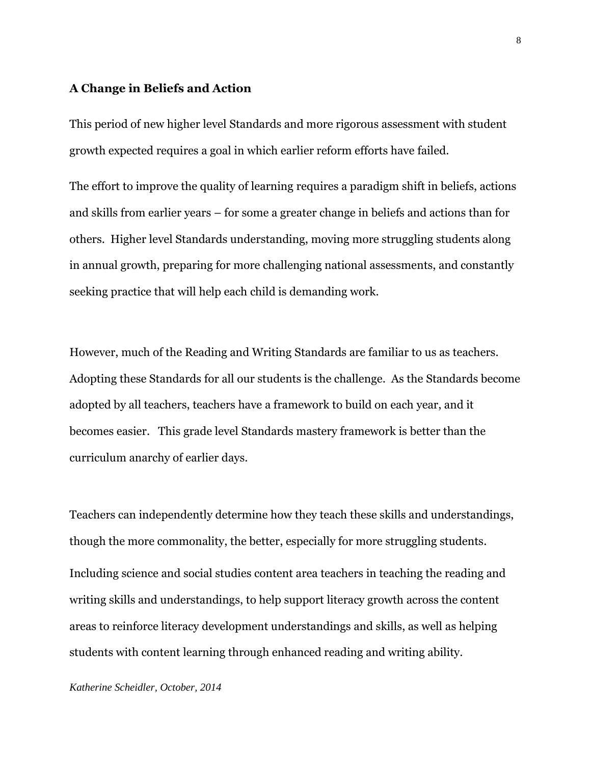#### **A Change in Beliefs and Action**

This period of new higher level Standards and more rigorous assessment with student growth expected requires a goal in which earlier reform efforts have failed.

The effort to improve the quality of learning requires a paradigm shift in beliefs, actions and skills from earlier years – for some a greater change in beliefs and actions than for others. Higher level Standards understanding, moving more struggling students along in annual growth, preparing for more challenging national assessments, and constantly seeking practice that will help each child is demanding work.

However, much of the Reading and Writing Standards are familiar to us as teachers. Adopting these Standards for all our students is the challenge. As the Standards become adopted by all teachers, teachers have a framework to build on each year, and it becomes easier. This grade level Standards mastery framework is better than the curriculum anarchy of earlier days.

Teachers can independently determine how they teach these skills and understandings, though the more commonality, the better, especially for more struggling students. Including science and social studies content area teachers in teaching the reading and writing skills and understandings, to help support literacy growth across the content areas to reinforce literacy development understandings and skills, as well as helping students with content learning through enhanced reading and writing ability.